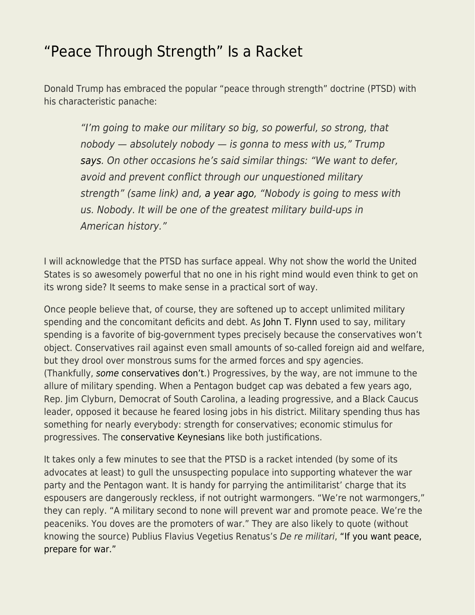## ["Peace Through Strength" Is a Racket](https://everything-voluntary.com/peace-through-strength-is-a-racket)

Donald Trump has embraced the popular "peace through strength" doctrine (PTSD) with his characteristic panache:

"I'm going to make our military so big, so powerful, so strong, that  $n$ obody  $-$  absolutely nobody  $-$  is gonna to mess with us," Trump [says.](https://www.dailynews.com/2016/09/07/donald-trump-aims-for-military-so-big-so-powerful-so-strong/) On other occasions he's said similar things: "We want to defer, avoid and prevent conflict through our unquestioned military strength" (same link) and, [a year ago,](http://www.independent.co.uk/news/world/americas/us-politics/donald-trump-us-military-budget-historic-increase-a7602241.html) "Nobody is going to mess with us. Nobody. It will be one of the greatest military build-ups in American history."

I will acknowledge that the PTSD has surface appeal. Why not show the world the United States is so awesomely powerful that no one in his right mind would even think to get on its wrong side? It seems to make sense in a practical sort of way.

Once people believe that, of course, they are softened up to accept unlimited military spending and the concomitant deficits and debt. As [John T. Flynn](https://www.amazon.com/dp/B004S7EZJ8/ref=dp-kindle-redirect?_encoding=UTF8&btkr=1) used to say, military spending is a favorite of big-government types precisely because the conservatives won't object. Conservatives rail against even small amounts of so-called foreign aid and welfare, but they drool over monstrous sums for the armed forces and spy agencies. (Thankfully, [some](http://www.theamericanconservative.com/) [conservatives don't](http://www.theamericanconservative.com/).) Progressives, by the way, are not immune to the allure of military spending. When a Pentagon budget cap was debated a few years ago, Rep. Jim Clyburn, Democrat of South Carolina, a leading progressive, and a Black Caucus leader, opposed it because he feared losing jobs in his district. Military spending thus has something for nearly everybody: strength for conservatives; economic stimulus for progressives. The [conservative Keynesians](http://www.theamericanconservative.com/articles/keynesian-cons/) like both justifications.

It takes only a few minutes to see that the PTSD is a racket intended (by some of its advocates at least) to gull the unsuspecting populace into supporting whatever the war party and the Pentagon want. It is handy for parrying the antimilitarist' charge that its espousers are dangerously reckless, if not outright warmongers. "We're not warmongers," they can reply. "A military second to none will prevent war and promote peace. We're the peaceniks. You doves are the promoters of war." They are also likely to quote (without knowing the source) Publius Flavius Vegetius Renatus's De re militari, ["If you want peace,](https://en.wikipedia.org/wiki/Si_vis_pacem,_para_bellum) [prepare for war."](https://en.wikipedia.org/wiki/Si_vis_pacem,_para_bellum)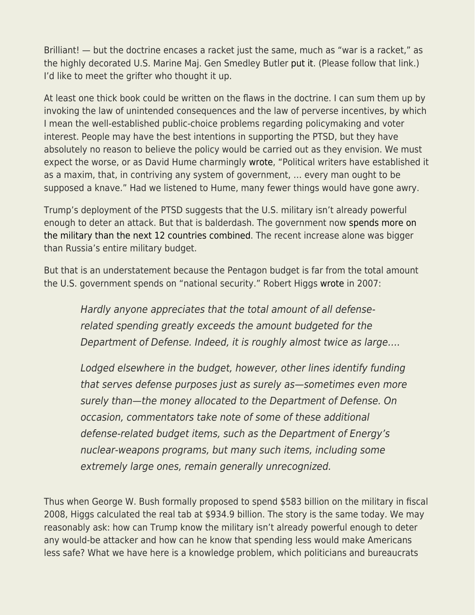Brilliant! — but the doctrine encases a racket just the same, much as "war is a racket," as the highly decorated U.S. Marine Maj. Gen Smedley Butler [put it.](https://www.ratical.org/ratville/CAH/warisaracket.html) (Please follow that link.) I'd like to meet the grifter who thought it up.

At least one thick book could be written on the flaws in the doctrine. I can sum them up by invoking the law of unintended consequences and the law of perverse incentives, by which I mean the well-established public-choice problems regarding policymaking and voter interest. People may have the best intentions in supporting the PTSD, but they have absolutely no reason to believe the policy would be carried out as they envision. We must expect the worse, or as David Hume charmingly [wrote,](http://oll.libertyfund.org/quote/427) "Political writers have established it as a maxim, that, in contriving any system of government, … every man ought to be supposed a knave." Had we listened to Hume, many fewer things would have gone awry.

Trump's deployment of the PTSD suggests that the U.S. military isn't already powerful enough to deter an attack. But that is balderdash. The government now [spends more on](https://www.theatlas.com/charts/S1PMACOIM) [the military than the next 12 countries combined](https://www.theatlas.com/charts/S1PMACOIM). The recent increase alone was bigger than Russia's entire military budget.

But that is an understatement because the Pentagon budget is far from the total amount the U.S. government spends on "national security." Robert Higgs [wrote](http://www.independent.org/newsroom/article.asp?id=1941) in 2007:

Hardly anyone appreciates that the total amount of all defenserelated spending greatly exceeds the amount budgeted for the Department of Defense. Indeed, it is roughly almost twice as large….

Lodged elsewhere in the budget, however, other lines identify funding that serves defense purposes just as surely as—sometimes even more surely than—the money allocated to the Department of Defense. On occasion, commentators take note of some of these additional defense-related budget items, such as the Department of Energy's nuclear-weapons programs, but many such items, including some extremely large ones, remain generally unrecognized.

Thus when George W. Bush formally proposed to spend \$583 billion on the military in fiscal 2008, Higgs calculated the real tab at \$934.9 billion. The story is the same today. We may reasonably ask: how can Trump know the military isn't already powerful enough to deter any would-be attacker and how can he know that spending less would make Americans less safe? What we have here is a knowledge problem, which politicians and bureaucrats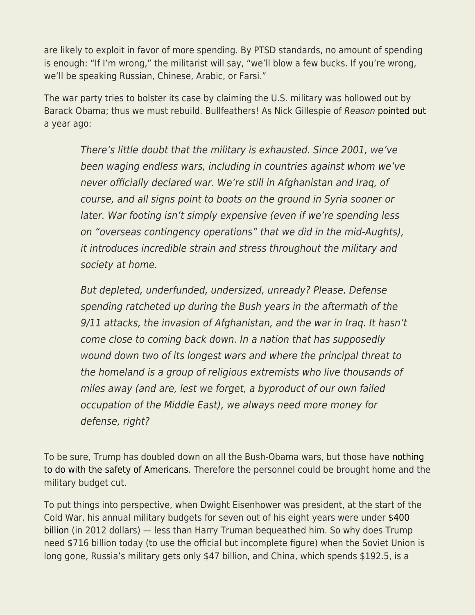are likely to exploit in favor of more spending. By PTSD standards, no amount of spending is enough: "If I'm wrong," the militarist will say, "we'll blow a few bucks. If you're wrong, we'll be speaking Russian, Chinese, Arabic, or Farsi."

The war party tries to bolster its case by claiming the U.S. military was hollowed out by Barack Obama; thus we must rebuild. Bullfeathers! As Nick Gillespie of Reason [pointed out](http://reason.com/blog/2017/02/28/is-the-military-really-depleted-after-ye/) a year ago:

There's little doubt that the military is exhausted. Since 2001, we've been waging endless wars, including in countries against whom we've never officially declared war. We're still in Afghanistan and Iraq, of course, and all signs point to boots on the ground in Syria sooner or later. War footing isn't simply expensive (even if we're spending less on "overseas contingency operations" that we did in the mid-Aughts), it introduces incredible strain and stress throughout the military and society at home.

But depleted, underfunded, undersized, unready? Please. Defense spending ratcheted up during the Bush years in the aftermath of the 9/11 attacks, the invasion of Afghanistan, and the war in Iraq. It hasn't come close to coming back down. In a nation that has supposedly wound down two of its longest wars and where the principal threat to the homeland is a group of religious extremists who live thousands of miles away (and are, lest we forget, a byproduct of our own failed occupation of the Middle East), we always need more money for defense, right?

To be sure, Trump has doubled down on all the Bush-Obama wars, but those have [nothing](http://www.theamericanconservative.com/articles/war-without-a-rationale/) [to do with the safety of Americans.](http://www.theamericanconservative.com/articles/war-without-a-rationale/) Therefore the personnel could be brought home and the military budget cut.

To put things into perspective, when Dwight Eisenhower was president, at the start of the Cold War, his annual military budgets for seven out of his eight years were under [\\$400](https://www.americanprogress.org/issues/economy/news/2011/07/06/10041/a-historical-perspective-on-defense-budgets/) [billion](https://www.americanprogress.org/issues/economy/news/2011/07/06/10041/a-historical-perspective-on-defense-budgets/) (in 2012 dollars) — less than Harry Truman bequeathed him. So why does Trump need \$716 billion today (to use the official but incomplete figure) when the Soviet Union is long gone, Russia's military gets only \$47 billion, and China, which spends \$192.5, is a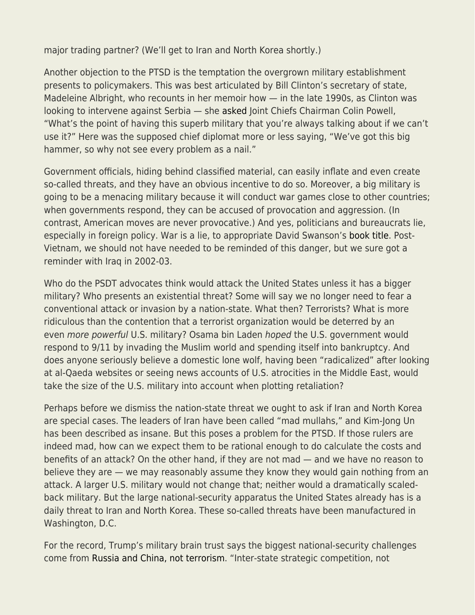major trading partner? (We'll get to Iran and North Korea shortly.)

Another objection to the PTSD is the temptation the overgrown military establishment presents to policymakers. This was best articulated by Bill Clinton's secretary of state, Madeleine Albright, who recounts in her memoir how — in the late 1990s, as Clinton was looking to intervene against Serbia — she [asked](https://en.wikiquote.org/wiki/Madeleine_Albright) Joint Chiefs Chairman Colin Powell, "What's the point of having this superb military that you're always talking about if we can't use it?" Here was the supposed chief diplomat more or less saying, "We've got this big hammer, so why not see every problem as a nail."

Government officials, hiding behind classified material, can easily inflate and even create so-called threats, and they have an obvious incentive to do so. Moreover, a big military is going to be a menacing military because it will conduct war games close to other countries; when governments respond, they can be accused of provocation and aggression. (In contrast, American moves are never provocative.) And yes, politicians and bureaucrats lie, especially in foreign policy. War is a lie, to appropriate David Swanson's [book title](https://www.amazon.com/dp/B004BDOVSE/ref=dp-kindle-redirect?_encoding=UTF8&btkr=1). Post-Vietnam, we should not have needed to be reminded of this danger, but we sure got a reminder with Iraq in 2002-03.

Who do the PSDT advocates think would attack the United States unless it has a bigger military? Who presents an existential threat? Some will say we no longer need to fear a conventional attack or invasion by a nation-state. What then? Terrorists? What is more ridiculous than the contention that a terrorist organization would be deterred by an even more powerful U.S. military? Osama bin Laden hoped the U.S. government would respond to 9/11 by invading the Muslim world and spending itself into bankruptcy. And does anyone seriously believe a domestic lone wolf, having been "radicalized" after looking at al-Qaeda websites or seeing news accounts of U.S. atrocities in the Middle East, would take the size of the U.S. military into account when plotting retaliation?

Perhaps before we dismiss the nation-state threat we ought to ask if Iran and North Korea are special cases. The leaders of Iran have been called "mad mullahs," and Kim-Jong Un has been described as insane. But this poses a problem for the PTSD. If those rulers are indeed mad, how can we expect them to be rational enough to do calculate the costs and benefits of an attack? On the other hand, if they are not mad — and we have no reason to believe they are — we may reasonably assume they know they would gain nothing from an attack. A larger U.S. military would not change that; neither would a dramatically scaledback military. But the large national-security apparatus the United States already has is a daily threat to Iran and North Korea. These so-called threats have been manufactured in Washington, D.C.

For the record, Trump's military brain trust says the biggest national-security challenges come from [Russia and China, not terrorism.](https://www.defensenews.com/breaking-news/2018/01/19/national-defense-strategy-released-with-clear-priority-stay-ahead-of-russia-and-china/) "Inter-state strategic competition, not